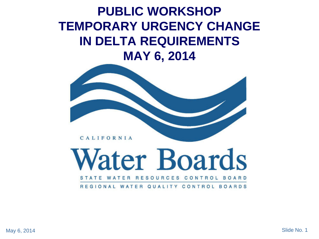#### **PUBLIC WORKSHOP TEMPORARY URGENCY CHANGE IN DELTA REQUIREMENTS MAY 6, 2014**



*later* Boards RESOURCES CONTROL WATER BO<sub>1</sub>

REGIONAL WATER QUALITY CONTROL BOARDS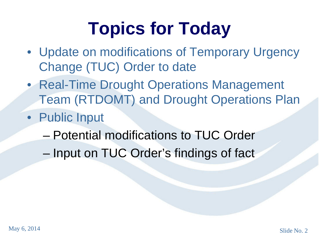### **Topics for Today**

- Update on modifications of Temporary Urgency Change (TUC) Order to date
- Real-Time Drought Operations Management Team (RTDOMT) and Drought Operations Plan
- Public Input
	- Potential modifications to TUC Order
	- Input on TUC Order's findings of fact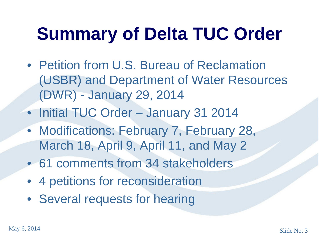## **Summary of Delta TUC Order**

- Petition from U.S. Bureau of Reclamation (USBR) and Department of Water Resources (DWR) - January 29, 2014
- Initial TUC Order January 31 2014
- Modifications: February 7, February 28, March 18, April 9, April 11, and May 2
- 61 comments from 34 stakeholders
- 4 petitions for reconsideration
- Several requests for hearing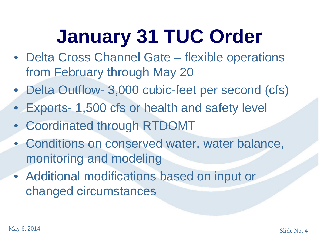# **January 31 TUC Order**

- Delta Cross Channel Gate flexible operations from February through May 20
- Delta Outflow- 3,000 cubic-feet per second (cfs)
- Exports- 1,500 cfs or health and safety level
- Coordinated through RTDOMT
- Conditions on conserved water, water balance, monitoring and modeling
- Additional modifications based on input or changed circumstances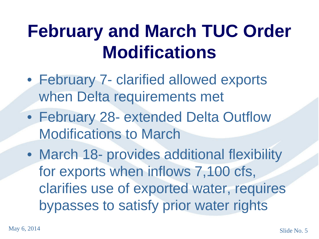### **February and March TUC Order Modifications**

- February 7- clarified allowed exports when Delta requirements met
- February 28- extended Delta Outflow Modifications to March
- March 18- provides additional flexibility for exports when inflows 7,100 cfs, clarifies use of exported water, requires bypasses to satisfy prior water rights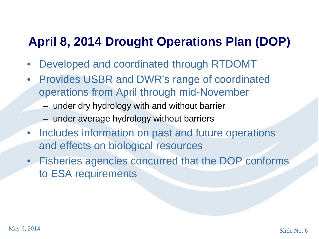#### **April 8, 2014 Drought Operations Plan (DOP)**

- Developed and coordinated through RTDOMT
- Provides USBR and DWR's range of coordinated operations from April through mid-November
	- under dry hydrology with and without barrier
	- under average hydrology without barriers
- Includes information on past and future operations and effects on biological resources
- Fisheries agencies concurred that the DOP conforms to ESA requirements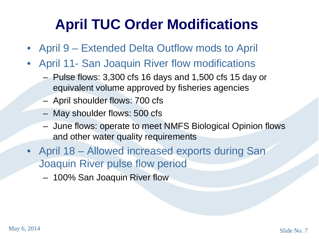### **April TUC Order Modifications**

- April 9 Extended Delta Outflow mods to April
- April 11- San Joaquin River flow modifications
	- Pulse flows: 3,300 cfs 16 days and 1,500 cfs 15 day or equivalent volume approved by fisheries agencies
	- April shoulder flows: 700 cfs
	- May shoulder flows: 500 cfs
	- June flows: operate to meet NMFS Biological Opinion flows and other water quality requirements
- April 18 Allowed increased exports during San Joaquin River pulse flow period
	- 100% San Joaquin River flow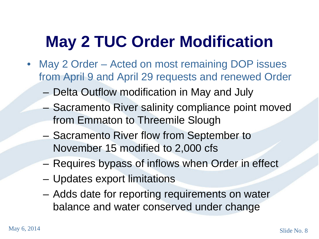### **May 2 TUC Order Modification**

- May 2 Order Acted on most remaining DOP issues from April 9 and April 29 requests and renewed Order
	- Delta Outflow modification in May and July
	- Sacramento River salinity compliance point moved from Emmaton to Threemile Slough
	- Sacramento River flow from September to November 15 modified to 2,000 cfs
	- Requires bypass of inflows when Order in effect
	- Updates export limitations
	- Adds date for reporting requirements on water balance and water conserved under change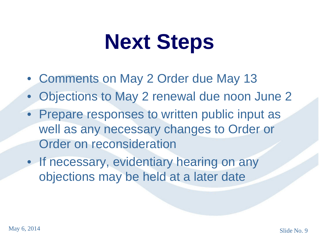# **Next Steps**

- Comments on May 2 Order due May 13
- Objections to May 2 renewal due noon June 2
- Prepare responses to written public input as well as any necessary changes to Order or Order on reconsideration
- If necessary, evidentiary hearing on any objections may be held at a later date